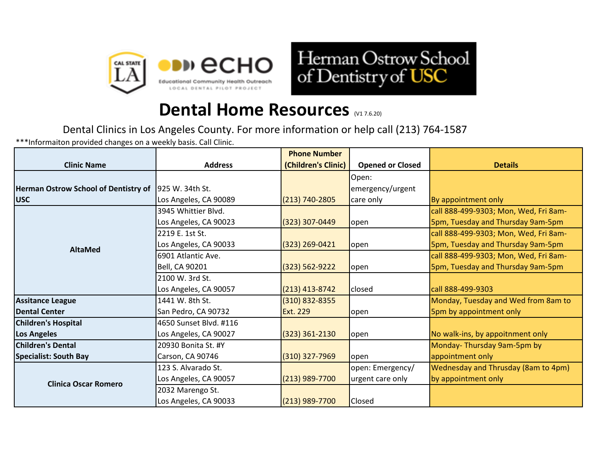



## **Dental Home Resources** (V1 7.6.20)

Dental Clinics in Los Angeles County. For more information or help call (213) 764-1587

\*\*\*Informaiton provided changes on a weekly basis. Call Clinic.

|                                             |                        | <b>Phone Number</b> |                         |                                       |
|---------------------------------------------|------------------------|---------------------|-------------------------|---------------------------------------|
| <b>Clinic Name</b>                          | <b>Address</b>         | (Children's Clinic) | <b>Opened or Closed</b> | <b>Details</b>                        |
|                                             |                        |                     | Open:                   |                                       |
| <b>Herman Ostrow School of Dentistry of</b> | 1925 W. 34th St.       |                     | emergency/urgent        |                                       |
| <b>USC</b>                                  | Los Angeles, CA 90089  | $(213) 740 - 2805$  | care only               | By appointment only                   |
| <b>AltaMed</b>                              | 3945 Whittier Blvd.    |                     |                         | call 888-499-9303; Mon, Wed, Fri 8am- |
|                                             | Los Angeles, CA 90023  | $(323)$ 307-0449    | open                    | 5pm, Tuesday and Thursday 9am-5pm     |
|                                             | 2219 E. 1st St.        |                     |                         | call 888-499-9303; Mon, Wed, Fri 8am- |
|                                             | Los Angeles, CA 90033  | $(323)$ 269-0421    | open                    | 5pm, Tuesday and Thursday 9am-5pm     |
|                                             | 6901 Atlantic Ave.     |                     |                         | call 888-499-9303; Mon, Wed, Fri 8am- |
|                                             | Bell, CA 90201         | $(323) 562 - 9222$  | open                    | 5pm, Tuesday and Thursday 9am-5pm     |
|                                             | 2100 W. 3rd St.        |                     |                         |                                       |
|                                             | Los Angeles, CA 90057  | (213) 413-8742      | closed                  | call 888-499-9303                     |
| <b>Assitance League</b>                     | 1441 W. 8th St.        | $(310)$ 832-8355    |                         | Monday, Tuesday and Wed from 8am to   |
| <b>IDental Center</b>                       | San Pedro, CA 90732    | Ext. 229            | open                    | 5pm by appointment only               |
| <b>Children's Hospital</b>                  | 4650 Sunset Blvd. #116 |                     |                         |                                       |
| <b>Los Angeles</b>                          | Los Angeles, CA 90027  | $(323)$ 361-2130    | open                    | No walk-ins, by appoitnment only      |
| <b>Children's Dental</b>                    | 20930 Bonita St. #Y    |                     |                         | Monday-Thursday 9am-5pm by            |
| <b>Specialist: South Bay</b>                | Carson, CA 90746       | $(310)$ 327-7969    | open                    | appointment only                      |
| <b>Clinica Oscar Romero</b>                 | 123 S. Alvarado St.    |                     | open: Emergency/        | Wednesday and Thrusday (8am to 4pm)   |
|                                             | Los Angeles, CA 90057  | (213) 989-7700      | urgent care only        | by appointment only                   |
|                                             | 2032 Marengo St.       |                     |                         |                                       |
|                                             | Los Angeles, CA 90033  | (213) 989-7700      | Closed                  |                                       |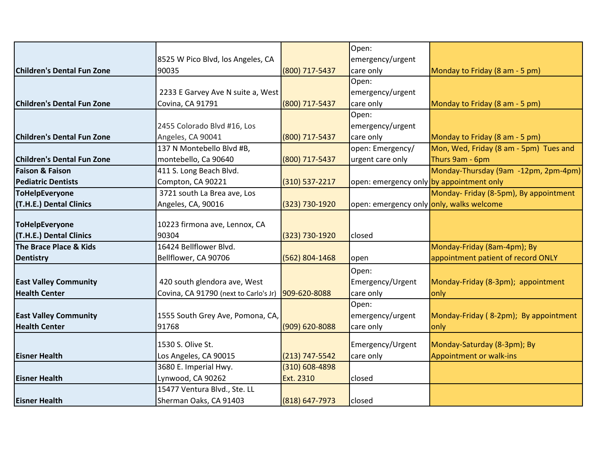|                                   |                                       |                  | Open:                                    |                                        |
|-----------------------------------|---------------------------------------|------------------|------------------------------------------|----------------------------------------|
|                                   | 8525 W Pico Blvd, los Angeles, CA     |                  | emergency/urgent                         |                                        |
| <b>Children's Dental Fun Zone</b> | 90035                                 | (800) 717-5437   | care only                                | Monday to Friday (8 am - 5 pm)         |
|                                   |                                       |                  | Open:                                    |                                        |
|                                   | 2233 E Garvey Ave N suite a, West     |                  | emergency/urgent                         |                                        |
| <b>Children's Dental Fun Zone</b> | Covina, CA 91791                      | (800) 717-5437   | care only                                | Monday to Friday (8 am - 5 pm)         |
|                                   |                                       |                  | Open:                                    |                                        |
|                                   | 2455 Colorado Blvd #16, Los           |                  | emergency/urgent                         |                                        |
| <b>Children's Dental Fun Zone</b> | Angeles, CA 90041                     | (800) 717-5437   | care only                                | Monday to Friday (8 am - 5 pm)         |
|                                   | 137 N Montebello Blvd #B,             |                  | open: Emergency/                         | Mon, Wed, Friday (8 am - 5pm) Tues and |
| <b>Children's Dental Fun Zone</b> | montebello, Ca 90640                  | (800) 717-5437   | urgent care only                         | Thurs 9am - 6pm                        |
| <b>Faison &amp; Faison</b>        | 411 S. Long Beach Blvd.               |                  |                                          | Monday-Thursday (9am -12pm, 2pm-4pm)   |
| <b>Pediatric Dentists</b>         | Compton, CA 90221                     | (310) 537-2217   | open: emergency only by appointment only |                                        |
| <b>ToHelpEveryone</b>             | 3721 south La Brea ave, Los           |                  |                                          | Monday- Friday (8-5pm), By appointment |
| (T.H.E.) Dental Clinics           | Angeles, CA, 90016                    | (323) 730-1920   | open: emergency only only, walks welcome |                                        |
|                                   |                                       |                  |                                          |                                        |
| <b>ToHelpEveryone</b>             | 10223 firmona ave, Lennox, CA         |                  |                                          |                                        |
| (T.H.E.) Dental Clinics           | 90304                                 | (323) 730-1920   | closed                                   |                                        |
| The Brace Place & Kids            | 16424 Bellflower Blvd.                |                  |                                          | Monday-Friday (8am-4pm); By            |
| Dentistry                         | Bellflower, CA 90706                  | (562) 804-1468   | open                                     | appointment patient of record ONLY     |
|                                   |                                       |                  | Open:                                    |                                        |
| <b>East Valley Community</b>      | 420 south glendora ave, West          |                  | Emergency/Urgent                         | Monday-Friday (8-3pm); appointment     |
| <b>Health Center</b>              | Covina, CA 91790 (next to Carlo's Jr) | 909-620-8088     | care only                                | only                                   |
|                                   |                                       |                  | Open:                                    |                                        |
| <b>East Valley Community</b>      | 1555 South Grey Ave, Pomona, CA,      |                  | emergency/urgent                         | Monday-Friday (8-2pm); By appointment  |
| <b>Health Center</b>              | 91768                                 | (909) 620-8088   | care only                                | only                                   |
|                                   | 1530 S. Olive St.                     |                  | Emergency/Urgent                         | Monday-Saturday (8-3pm); By            |
| <b>Eisner Health</b>              | Los Angeles, CA 90015                 | (213) 747-5542   | care only                                | Appointment or walk-ins                |
|                                   | 3680 E. Imperial Hwy.                 | $(310)$ 608-4898 |                                          |                                        |
| <b>Eisner Health</b>              | Lynwood, CA 90262                     | Ext. 2310        | closed                                   |                                        |
|                                   | 15477 Ventura Blvd., Ste. LL          |                  |                                          |                                        |
| <b>Eisner Health</b>              | Sherman Oaks, CA 91403                | (818) 647-7973   | closed                                   |                                        |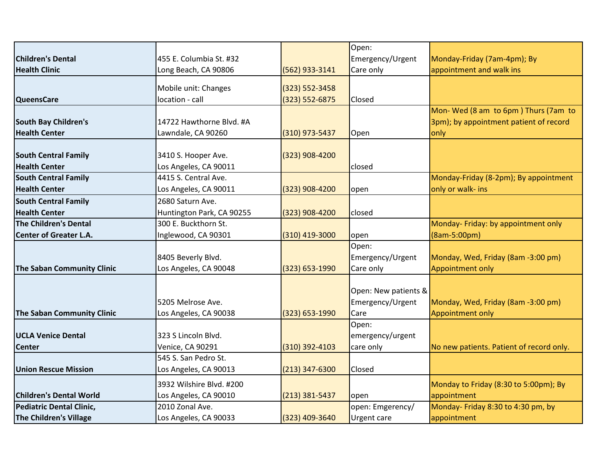|                                   |                           |                    | Open:                |                                          |
|-----------------------------------|---------------------------|--------------------|----------------------|------------------------------------------|
| <b>Children's Dental</b>          | 455 E. Columbia St. #32   |                    | Emergency/Urgent     | Monday-Friday (7am-4pm); By              |
| <b>Health Clinic</b>              | Long Beach, CA 90806      | (562) 933-3141     | Care only            | appointment and walk ins                 |
|                                   | Mobile unit: Changes      | (323) 552-3458     |                      |                                          |
| <b>QueensCare</b>                 | location - call           | $(323) 552 - 6875$ | Closed               |                                          |
|                                   |                           |                    |                      | Mon-Wed (8 am to 6pm) Thurs (7am to      |
| South Bay Children's              | 14722 Hawthorne Blvd. #A  |                    |                      | 3pm); by appointment patient of record   |
| <b>Health Center</b>              | Lawndale, CA 90260        | (310) 973-5437     | Open                 | only                                     |
|                                   |                           |                    |                      |                                          |
| <b>South Central Family</b>       | 3410 S. Hooper Ave.       | (323) 908-4200     |                      |                                          |
| <b>Health Center</b>              | Los Angeles, CA 90011     |                    | closed               |                                          |
| <b>South Central Family</b>       | 4415 S. Central Ave.      |                    |                      | Monday-Friday (8-2pm); By appointment    |
| <b>Health Center</b>              | Los Angeles, CA 90011     | (323) 908-4200     | open                 | only or walk- ins                        |
| <b>South Central Family</b>       | 2680 Saturn Ave.          |                    |                      |                                          |
| <b>Health Center</b>              | Huntington Park, CA 90255 | (323) 908-4200     | closed               |                                          |
| <b>The Children's Dental</b>      | 300 E. Buckthorn St.      |                    |                      | Monday- Friday: by appointment only      |
| <b>Center of Greater L.A.</b>     | Inglewood, CA 90301       | (310) 419-3000     | open                 | (8am-5:00pm)                             |
|                                   |                           |                    | Open:                |                                          |
|                                   | 8405 Beverly Blvd.        |                    | Emergency/Urgent     | Monday, Wed, Friday (8am -3:00 pm)       |
| <b>The Saban Community Clinic</b> | Los Angeles, CA 90048     | (323) 653-1990     | Care only            | Appointment only                         |
|                                   |                           |                    |                      |                                          |
|                                   |                           |                    | Open: New patients & |                                          |
|                                   | 5205 Melrose Ave.         |                    | Emergency/Urgent     | Monday, Wed, Friday (8am -3:00 pm)       |
| <b>The Saban Community Clinic</b> | Los Angeles, CA 90038     | (323) 653-1990     | Care                 | Appointment only                         |
|                                   |                           |                    | Open:                |                                          |
| <b>UCLA Venice Dental</b>         | 323 S Lincoln Blvd.       |                    | emergency/urgent     |                                          |
| <b>Center</b>                     | Venice, CA 90291          | $(310)$ 392-4103   | care only            | No new patients. Patient of record only. |
|                                   | 545 S. San Pedro St.      |                    |                      |                                          |
| <b>Union Rescue Mission</b>       | Los Angeles, CA 90013     | $(213)$ 347-6300   | Closed               |                                          |
|                                   | 3932 Wilshire Blvd. #200  |                    |                      | Monday to Friday (8:30 to 5:00pm); By    |
| <b>Children's Dental World</b>    | Los Angeles, CA 90010     | $(213)$ 381-5437   | open                 | appointment                              |
| Pediatric Dental Clinic,          | 2010 Zonal Ave.           |                    | open: Emgerency/     | Monday- Friday 8:30 to 4:30 pm, by       |
| The Children's Village            | Los Angeles, CA 90033     | (323) 409-3640     | Urgent care          | appointment                              |